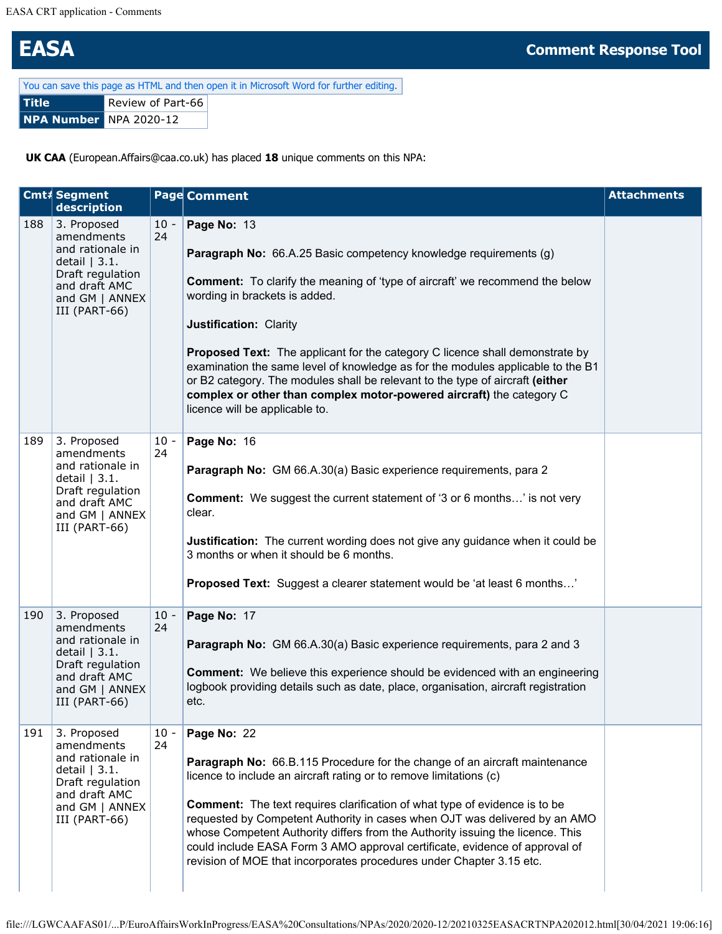## **EASA Comment Response Tool**

| You can save this page as HTML and then open it in Microsoft Word for further editing. |                   |  |  |  |  |  |  |
|----------------------------------------------------------------------------------------|-------------------|--|--|--|--|--|--|
| l Title                                                                                | Review of Part-66 |  |  |  |  |  |  |
| <b>NPA Number NPA 2020-12</b>                                                          |                   |  |  |  |  |  |  |

**UK CAA** (European.Affairs@caa.co.uk) has placed **18** unique comments on this NPA:

|     | Cmt# Segment<br>description                                                                                                             |              | <b>Page Comment</b>                                                                                                                                                                                                                                                                                                                                                                                                                                                                                                                                                                                            | <b>Attachments</b> |
|-----|-----------------------------------------------------------------------------------------------------------------------------------------|--------------|----------------------------------------------------------------------------------------------------------------------------------------------------------------------------------------------------------------------------------------------------------------------------------------------------------------------------------------------------------------------------------------------------------------------------------------------------------------------------------------------------------------------------------------------------------------------------------------------------------------|--------------------|
| 188 | 3. Proposed<br>amendments<br>and rationale in<br>detail $ 3.1.$<br>Draft regulation<br>and draft AMC<br>and GM   ANNEX<br>III (PART-66) | $10 -$<br>24 | Page No: 13<br><b>Paragraph No:</b> 66.A.25 Basic competency knowledge requirements (g)<br><b>Comment:</b> To clarify the meaning of 'type of aircraft' we recommend the below<br>wording in brackets is added.<br>Justification: Clarity<br><b>Proposed Text:</b> The applicant for the category C licence shall demonstrate by<br>examination the same level of knowledge as for the modules applicable to the B1<br>or B2 category. The modules shall be relevant to the type of aircraft (either<br>complex or other than complex motor-powered aircraft) the category C<br>licence will be applicable to. |                    |
| 189 | 3. Proposed<br>amendments<br>and rationale in<br>detail $ 3.1.$<br>Draft regulation<br>and draft AMC<br>and GM   ANNEX<br>III (PART-66) | $10 -$<br>24 | Page No: 16<br>Paragraph No: GM 66.A.30(a) Basic experience requirements, para 2<br><b>Comment:</b> We suggest the current statement of '3 or 6 months' is not very<br>clear.<br>Justification: The current wording does not give any guidance when it could be<br>3 months or when it should be 6 months.<br><b>Proposed Text:</b> Suggest a clearer statement would be 'at least 6 months'                                                                                                                                                                                                                   |                    |
| 190 | 3. Proposed<br>amendments<br>and rationale in<br>detail $ 3.1.$<br>Draft regulation<br>and draft AMC<br>and GM   ANNEX<br>III (PART-66) | $10 -$<br>24 | Page No: 17<br>Paragraph No: GM 66.A.30(a) Basic experience requirements, para 2 and 3<br><b>Comment:</b> We believe this experience should be evidenced with an engineering<br>logbook providing details such as date, place, organisation, aircraft registration<br>etc.                                                                                                                                                                                                                                                                                                                                     |                    |
| 191 | 3. Proposed<br>amendments<br>and rationale in<br>detail $ 3.1.$<br>Draft regulation<br>and draft AMC<br>and GM   ANNEX<br>III (PART-66) | $10 -$<br>24 | Page No: 22<br>Paragraph No: 66.B.115 Procedure for the change of an aircraft maintenance<br>licence to include an aircraft rating or to remove limitations (c)<br><b>Comment:</b> The text requires clarification of what type of evidence is to be<br>requested by Competent Authority in cases when OJT was delivered by an AMO<br>whose Competent Authority differs from the Authority issuing the licence. This<br>could include EASA Form 3 AMO approval certificate, evidence of approval of<br>revision of MOE that incorporates procedures under Chapter 3.15 etc.                                    |                    |

```
file:///LGWCAAFAS01/...P/EuroAffairsWorkInProgress/EASA%20Consultations/NPAs/2020/2020-12/20210325EASACRTNPA202012.html[30/04/2021 19:06:16]
```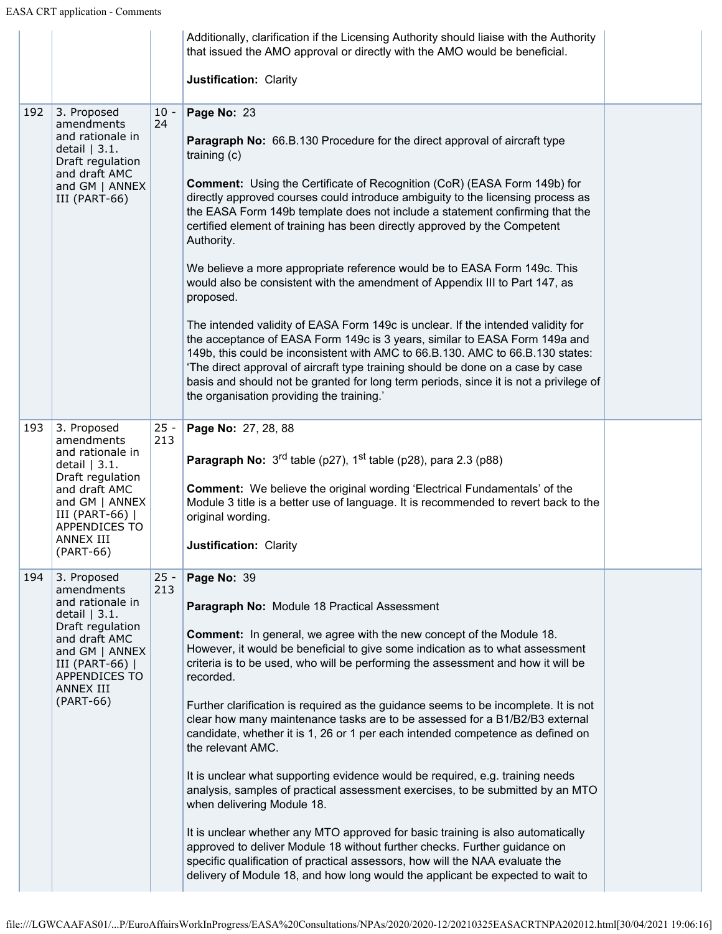|     |                                                                                                                                                                                           |               | Additionally, clarification if the Licensing Authority should liaise with the Authority<br>that issued the AMO approval or directly with the AMO would be beneficial.                                                                                                                                                                                                                                                                                                                                                                                                                                                                                                                                                                                                                                                                                                                                                                                                                                                                                                                                                                        |  |
|-----|-------------------------------------------------------------------------------------------------------------------------------------------------------------------------------------------|---------------|----------------------------------------------------------------------------------------------------------------------------------------------------------------------------------------------------------------------------------------------------------------------------------------------------------------------------------------------------------------------------------------------------------------------------------------------------------------------------------------------------------------------------------------------------------------------------------------------------------------------------------------------------------------------------------------------------------------------------------------------------------------------------------------------------------------------------------------------------------------------------------------------------------------------------------------------------------------------------------------------------------------------------------------------------------------------------------------------------------------------------------------------|--|
|     |                                                                                                                                                                                           |               | Justification: Clarity                                                                                                                                                                                                                                                                                                                                                                                                                                                                                                                                                                                                                                                                                                                                                                                                                                                                                                                                                                                                                                                                                                                       |  |
| 192 | 3. Proposed<br>amendments<br>and rationale in<br>detail $ 3.1.$<br>Draft regulation<br>and draft AMC<br>and $GM$   ANNEX<br>III (PART-66)                                                 | $10 -$<br>24  | Page No: 23<br><b>Paragraph No:</b> 66.B.130 Procedure for the direct approval of aircraft type<br>training $(c)$<br><b>Comment:</b> Using the Certificate of Recognition (CoR) (EASA Form 149b) for<br>directly approved courses could introduce ambiguity to the licensing process as<br>the EASA Form 149b template does not include a statement confirming that the<br>certified element of training has been directly approved by the Competent<br>Authority.<br>We believe a more appropriate reference would be to EASA Form 149c. This<br>would also be consistent with the amendment of Appendix III to Part 147, as<br>proposed.<br>The intended validity of EASA Form 149c is unclear. If the intended validity for<br>the acceptance of EASA Form 149c is 3 years, similar to EASA Form 149a and<br>149b, this could be inconsistent with AMC to 66.B.130. AMC to 66.B.130 states:<br>'The direct approval of aircraft type training should be done on a case by case<br>basis and should not be granted for long term periods, since it is not a privilege of<br>the organisation providing the training.'                      |  |
| 193 | 3. Proposed<br>amendments<br>and rationale in<br>detail $ 3.1.$<br>Draft regulation<br>and draft AMC<br>and GM   ANNEX<br>III (PART-66)  <br>APPENDICES TO<br>ANNEX III<br>(PART-66)      | $25 -$<br>213 | Page No: 27, 28, 88<br><b>Paragraph No:</b> $3^{rd}$ table (p27), $1^{st}$ table (p28), para 2.3 (p88)<br><b>Comment:</b> We believe the original wording 'Electrical Fundamentals' of the<br>Module 3 title is a better use of language. It is recommended to revert back to the<br>original wording.<br>Justification: Clarity                                                                                                                                                                                                                                                                                                                                                                                                                                                                                                                                                                                                                                                                                                                                                                                                             |  |
| 194 | 3. Proposed<br>amendments<br>and rationale in<br>detail $ 3.1.$<br>Draft regulation<br>and draft AMC<br>and GM   ANNEX<br>III (PART-66)<br><b>APPENDICES TO</b><br>ANNEX III<br>(PART-66) | $25 -$<br>213 | Page No: 39<br>Paragraph No: Module 18 Practical Assessment<br><b>Comment:</b> In general, we agree with the new concept of the Module 18.<br>However, it would be beneficial to give some indication as to what assessment<br>criteria is to be used, who will be performing the assessment and how it will be<br>recorded.<br>Further clarification is required as the guidance seems to be incomplete. It is not<br>clear how many maintenance tasks are to be assessed for a B1/B2/B3 external<br>candidate, whether it is 1, 26 or 1 per each intended competence as defined on<br>the relevant AMC.<br>It is unclear what supporting evidence would be required, e.g. training needs<br>analysis, samples of practical assessment exercises, to be submitted by an MTO<br>when delivering Module 18.<br>It is unclear whether any MTO approved for basic training is also automatically<br>approved to deliver Module 18 without further checks. Further guidance on<br>specific qualification of practical assessors, how will the NAA evaluate the<br>delivery of Module 18, and how long would the applicant be expected to wait to |  |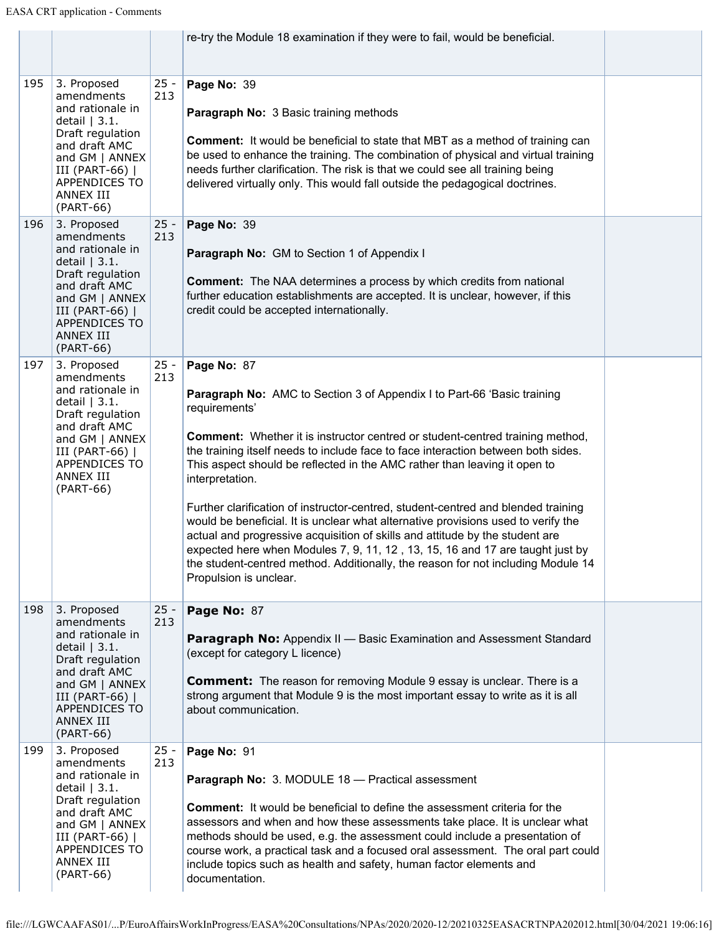|     |                                                                                                                                                                                           |               | re-try the Module 18 examination if they were to fail, would be beneficial.                                                                                                                                                                                                                                                                                                                                                                                                                                                                                                                                                                                                                                                                                                                                                                   |  |
|-----|-------------------------------------------------------------------------------------------------------------------------------------------------------------------------------------------|---------------|-----------------------------------------------------------------------------------------------------------------------------------------------------------------------------------------------------------------------------------------------------------------------------------------------------------------------------------------------------------------------------------------------------------------------------------------------------------------------------------------------------------------------------------------------------------------------------------------------------------------------------------------------------------------------------------------------------------------------------------------------------------------------------------------------------------------------------------------------|--|
| 195 | 3. Proposed<br>amendments<br>and rationale in<br>detail $ 3.1.$<br>Draft regulation<br>and draft AMC<br>and GM   ANNEX<br>III (PART-66)  <br>APPENDICES TO<br>ANNEX III<br>(PART-66)      | $25 -$<br>213 | Page No: 39<br><b>Paragraph No: 3 Basic training methods</b><br><b>Comment:</b> It would be beneficial to state that MBT as a method of training can<br>be used to enhance the training. The combination of physical and virtual training<br>needs further clarification. The risk is that we could see all training being<br>delivered virtually only. This would fall outside the pedagogical doctrines.                                                                                                                                                                                                                                                                                                                                                                                                                                    |  |
| 196 | 3. Proposed<br>amendments<br>and rationale in<br>detail $ 3.1.$<br>Draft regulation<br>and draft AMC<br>and GM   ANNEX<br>III (PART-66)<br><b>APPENDICES TO</b><br>ANNEX III<br>(PART-66) | $25 -$<br>213 | Page No: 39<br>Paragraph No: GM to Section 1 of Appendix I<br><b>Comment:</b> The NAA determines a process by which credits from national<br>further education establishments are accepted. It is unclear, however, if this<br>credit could be accepted internationally.                                                                                                                                                                                                                                                                                                                                                                                                                                                                                                                                                                      |  |
| 197 | 3. Proposed<br>amendments<br>and rationale in<br>detail $ 3.1.$<br>Draft regulation<br>and draft AMC<br>and $GM$   ANNEX<br>III (PART-66)  <br>APPENDICES TO<br>ANNEX III<br>(PART-66)    | $25 -$<br>213 | Page No: 87<br>Paragraph No: AMC to Section 3 of Appendix I to Part-66 'Basic training<br>requirements'<br><b>Comment:</b> Whether it is instructor centred or student-centred training method,<br>the training itself needs to include face to face interaction between both sides.<br>This aspect should be reflected in the AMC rather than leaving it open to<br>interpretation.<br>Further clarification of instructor-centred, student-centred and blended training<br>would be beneficial. It is unclear what alternative provisions used to verify the<br>actual and progressive acquisition of skills and attitude by the student are<br>expected here when Modules 7, 9, 11, 12, 13, 15, 16 and 17 are taught just by<br>the student-centred method. Additionally, the reason for not including Module 14<br>Propulsion is unclear. |  |
| 198 | 3. Proposed<br>amendments<br>and rationale in<br>detail $ 3.1.$<br>Draft regulation<br>and draft AMC<br>and GM   ANNEX<br>III (PART-66)  <br>APPENDICES TO<br>ANNEX III<br>(PART-66)      | $25 -$<br>213 | Page No: 87<br><b>Paragraph No:</b> Appendix II - Basic Examination and Assessment Standard<br>(except for category L licence)<br><b>Comment:</b> The reason for removing Module 9 essay is unclear. There is a<br>strong argument that Module 9 is the most important essay to write as it is all<br>about communication.                                                                                                                                                                                                                                                                                                                                                                                                                                                                                                                    |  |
| 199 | 3. Proposed<br>amendments<br>and rationale in<br>detail $ 3.1.$<br>Draft regulation<br>and draft AMC<br>and GM   ANNEX<br>III (PART-66)  <br>APPENDICES TO<br>ANNEX III<br>(PART-66)      | $25 -$<br>213 | Page No: 91<br><b>Paragraph No:</b> 3. MODULE 18 - Practical assessment<br><b>Comment:</b> It would be beneficial to define the assessment criteria for the<br>assessors and when and how these assessments take place. It is unclear what<br>methods should be used, e.g. the assessment could include a presentation of<br>course work, a practical task and a focused oral assessment. The oral part could<br>include topics such as health and safety, human factor elements and<br>documentation.                                                                                                                                                                                                                                                                                                                                        |  |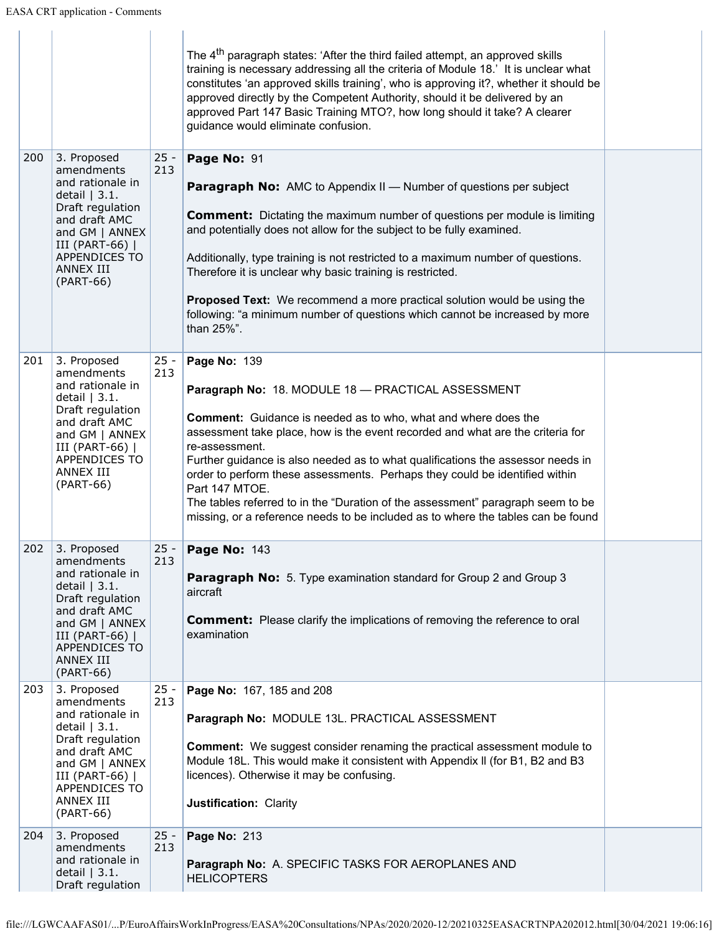|     |                                                                                                                                                                                      |               | The 4 <sup>th</sup> paragraph states: 'After the third failed attempt, an approved skills<br>training is necessary addressing all the criteria of Module 18.' It is unclear what<br>constitutes 'an approved skills training', who is approving it?, whether it should be<br>approved directly by the Competent Authority, should it be delivered by an<br>approved Part 147 Basic Training MTO?, how long should it take? A clearer<br>guidance would eliminate confusion.                                                                                                                                |  |
|-----|--------------------------------------------------------------------------------------------------------------------------------------------------------------------------------------|---------------|------------------------------------------------------------------------------------------------------------------------------------------------------------------------------------------------------------------------------------------------------------------------------------------------------------------------------------------------------------------------------------------------------------------------------------------------------------------------------------------------------------------------------------------------------------------------------------------------------------|--|
| 200 | 3. Proposed<br>amendments<br>and rationale in<br>detail $ 3.1.$<br>Draft regulation<br>and draft AMC<br>and GM   ANNEX<br>III (PART-66)  <br>APPENDICES TO<br>ANNEX III<br>(PART-66) | $25 -$<br>213 | Page No: 91<br><b>Paragraph No:</b> AMC to Appendix II - Number of questions per subject<br><b>Comment:</b> Dictating the maximum number of questions per module is limiting<br>and potentially does not allow for the subject to be fully examined.<br>Additionally, type training is not restricted to a maximum number of questions.<br>Therefore it is unclear why basic training is restricted.<br><b>Proposed Text:</b> We recommend a more practical solution would be using the<br>following: "a minimum number of questions which cannot be increased by more<br>than 25%".                       |  |
| 201 | 3. Proposed<br>amendments<br>and rationale in<br>detail $ 3.1.$<br>Draft regulation<br>and draft AMC<br>and GM   ANNEX<br>III (PART-66)  <br>APPENDICES TO<br>ANNEX III<br>(PART-66) | $25 -$<br>213 | Page No: 139<br>Paragraph No: 18. MODULE 18 - PRACTICAL ASSESSMENT<br><b>Comment:</b> Guidance is needed as to who, what and where does the<br>assessment take place, how is the event recorded and what are the criteria for<br>re-assessment.<br>Further guidance is also needed as to what qualifications the assessor needs in<br>order to perform these assessments. Perhaps they could be identified within<br>Part 147 MTOE.<br>The tables referred to in the "Duration of the assessment" paragraph seem to be<br>missing, or a reference needs to be included as to where the tables can be found |  |
| 202 | 3. Proposed<br>amendments<br>and rationale in<br>detail $ 3.1.$<br>Draft regulation<br>and draft AMC<br>and GM   ANNEX<br>III (PART-66)  <br>APPENDICES TO<br>ANNEX III<br>(PART-66) | $25 -$<br>213 | Page No: 143<br><b>Paragraph No:</b> 5. Type examination standard for Group 2 and Group 3<br>aircraft<br><b>Comment:</b> Please clarify the implications of removing the reference to oral<br>examination                                                                                                                                                                                                                                                                                                                                                                                                  |  |
| 203 | 3. Proposed<br>amendments<br>and rationale in<br>detail $ 3.1.$<br>Draft regulation<br>and draft AMC<br>and GM   ANNEX<br>III (PART-66)  <br>APPENDICES TO<br>ANNEX III<br>(PART-66) | $25 -$<br>213 | Page No: 167, 185 and 208<br>Paragraph No: MODULE 13L. PRACTICAL ASSESSMENT<br><b>Comment:</b> We suggest consider renaming the practical assessment module to<br>Module 18L. This would make it consistent with Appendix II (for B1, B2 and B3<br>licences). Otherwise it may be confusing.<br>Justification: Clarity                                                                                                                                                                                                                                                                                     |  |
| 204 | 3. Proposed<br>amendments<br>and rationale in<br>detail $ 3.1.$<br>Draft regulation                                                                                                  | $25 -$<br>213 | Page No: 213<br>Paragraph No: A. SPECIFIC TASKS FOR AEROPLANES AND<br><b>HELICOPTERS</b>                                                                                                                                                                                                                                                                                                                                                                                                                                                                                                                   |  |